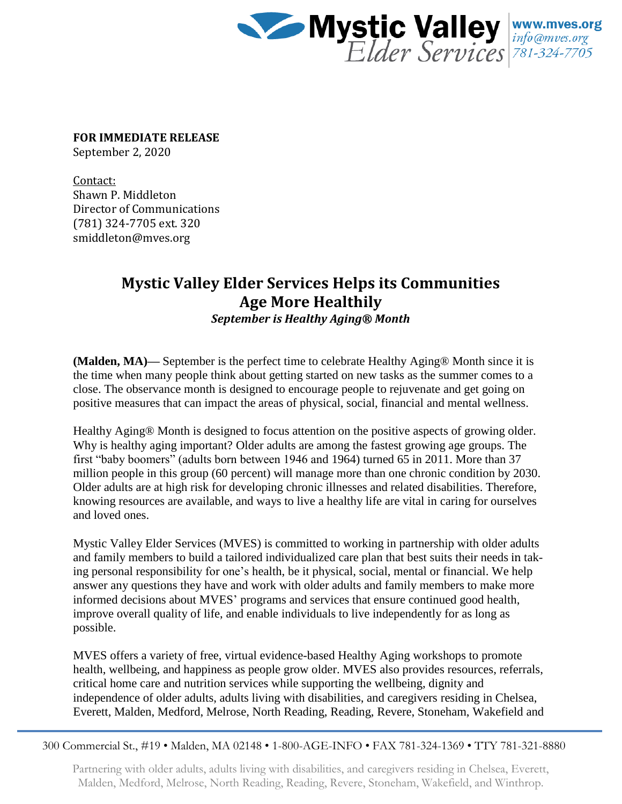

**FOR IMMEDIATE RELEASE**

September 2, 2020

Contact: Shawn P. Middleton Director of Communications (781) 324-7705 ext. 320 smiddleton@mves.org

## **Mystic Valley Elder Services Helps its Communities Age More Healthily**

*September is Healthy Aging® Month*

**(Malden, MA)—** September is the perfect time to celebrate Healthy Aging® Month since it is the time when many people think about getting started on new tasks as the summer comes to a close. The observance month is designed to encourage people to rejuvenate and get going on positive measures that can impact the areas of physical, social, financial and mental wellness.

Healthy Aging® Month is designed to focus attention on the positive aspects of growing older. Why is healthy aging important? Older adults are among the fastest growing age groups. The first "baby boomers" (adults born between 1946 and 1964) turned 65 in 2011. More than 37 million people in this group (60 percent) will manage more than one chronic condition by 2030. Older adults are at high risk for developing chronic illnesses and related disabilities. Therefore, knowing resources are available, and ways to live a healthy life are vital in caring for ourselves and loved ones.

Mystic Valley Elder Services (MVES) is committed to working in partnership with older adults and family members to build a tailored individualized care plan that best suits their needs in taking personal responsibility for one's health, be it physical, social, mental or financial. We help answer any questions they have and work with older adults and family members to make more informed decisions about MVES' programs and services that ensure continued good health, improve overall quality of life, and enable individuals to live independently for as long as possible.

MVES offers a variety of free, virtual evidence-based Healthy Aging workshops to promote health, wellbeing, and happiness as people grow older. MVES also provides resources, referrals, critical home care and nutrition services while supporting the wellbeing, dignity and independence of older adults, adults living with disabilities, and caregivers residing in Chelsea, Everett, Malden, Medford, Melrose, North Reading, Reading, Revere, Stoneham, Wakefield and

300 Commercial St., #19 • Malden, MA 02148 • 1-800-AGE-INFO • FAX 781-324-1369 • TTY 781-321-8880

Partnering with older adults, adults living with disabilities, and caregivers residing in Chelsea, Everett, Malden, Medford, Melrose, North Reading, Reading, Revere, Stoneham, Wakefield, and Winthrop.